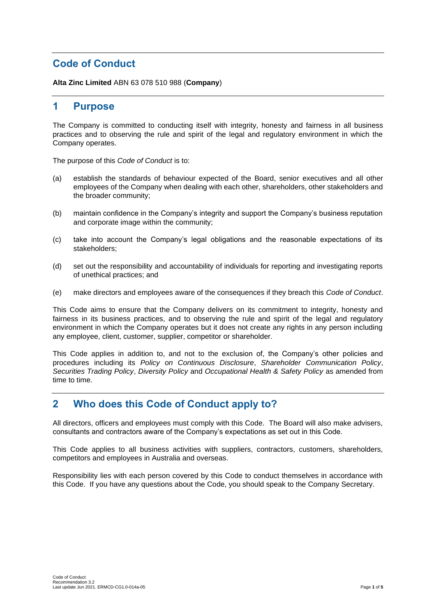# **Code of Conduct**

**Alta Zinc Limited** ABN 63 078 510 988 (**Company**)

#### **1 Purpose**

The Company is committed to conducting itself with integrity, honesty and fairness in all business practices and to observing the rule and spirit of the legal and regulatory environment in which the Company operates.

The purpose of this *Code of Conduct* is to:

- (a) establish the standards of behaviour expected of the Board, senior executives and all other employees of the Company when dealing with each other, shareholders, other stakeholders and the broader community;
- (b) maintain confidence in the Company's integrity and support the Company's business reputation and corporate image within the community;
- (c) take into account the Company's legal obligations and the reasonable expectations of its stakeholders;
- (d) set out the responsibility and accountability of individuals for reporting and investigating reports of unethical practices; and
- (e) make directors and employees aware of the consequences if they breach this *Code of Conduct*.

This Code aims to ensure that the Company delivers on its commitment to integrity, honesty and fairness in its business practices, and to observing the rule and spirit of the legal and regulatory environment in which the Company operates but it does not create any rights in any person including any employee, client, customer, supplier, competitor or shareholder.

This Code applies in addition to, and not to the exclusion of, the Company's other policies and procedures including its *Policy on Continuous Disclosure*, *Shareholder Communication Policy*, *Securities Trading Policy*, *Diversity Policy* and *Occupational Health & Safety Policy* as amended from time to time.

# **2 Who does this Code of Conduct apply to?**

All directors, officers and employees must comply with this Code. The Board will also make advisers, consultants and contractors aware of the Company's expectations as set out in this Code.

This Code applies to all business activities with suppliers, contractors, customers, shareholders, competitors and employees in Australia and overseas.

Responsibility lies with each person covered by this Code to conduct themselves in accordance with this Code. If you have any questions about the Code, you should speak to the Company Secretary.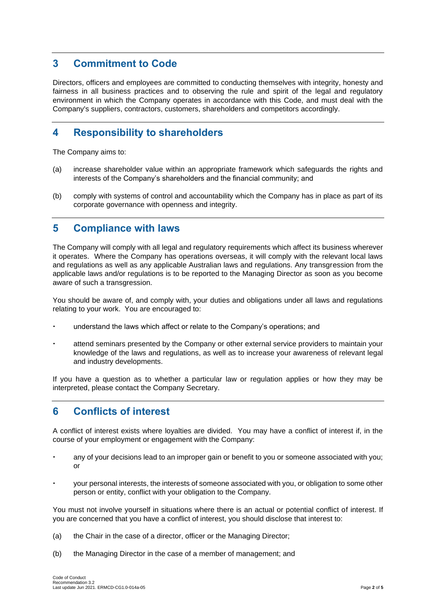### **3 Commitment to Code**

Directors, officers and employees are committed to conducting themselves with integrity, honesty and fairness in all business practices and to observing the rule and spirit of the legal and regulatory environment in which the Company operates in accordance with this Code, and must deal with the Company's suppliers, contractors, customers, shareholders and competitors accordingly.

# **4 Responsibility to shareholders**

The Company aims to:

- (a) increase shareholder value within an appropriate framework which safeguards the rights and interests of the Company's shareholders and the financial community; and
- (b) comply with systems of control and accountability which the Company has in place as part of its corporate governance with openness and integrity.

### **5 Compliance with laws**

The Company will comply with all legal and regulatory requirements which affect its business wherever it operates. Where the Company has operations overseas, it will comply with the relevant local laws and regulations as well as any applicable Australian laws and regulations. Any transgression from the applicable laws and/or regulations is to be reported to the Managing Director as soon as you become aware of such a transgression.

You should be aware of, and comply with, your duties and obligations under all laws and regulations relating to your work. You are encouraged to:

- understand the laws which affect or relate to the Company's operations; and
- attend seminars presented by the Company or other external service providers to maintain your knowledge of the laws and regulations, as well as to increase your awareness of relevant legal and industry developments.

If you have a question as to whether a particular law or regulation applies or how they may be interpreted, please contact the Company Secretary.

# **6 Conflicts of interest**

A conflict of interest exists where loyalties are divided. You may have a conflict of interest if, in the course of your employment or engagement with the Company:

- any of your decisions lead to an improper gain or benefit to you or someone associated with you; or
- your personal interests, the interests of someone associated with you, or obligation to some other person or entity, conflict with your obligation to the Company.

You must not involve yourself in situations where there is an actual or potential conflict of interest. If you are concerned that you have a conflict of interest, you should disclose that interest to:

- (a) the Chair in the case of a director, officer or the Managing Director;
- (b) the Managing Director in the case of a member of management; and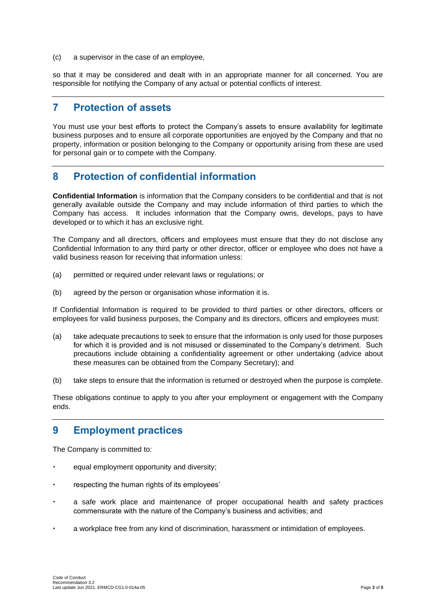(c) a supervisor in the case of an employee,

so that it may be considered and dealt with in an appropriate manner for all concerned. You are responsible for notifying the Company of any actual or potential conflicts of interest.

#### **7 Protection of assets**

You must use your best efforts to protect the Company's assets to ensure availability for legitimate business purposes and to ensure all corporate opportunities are enjoyed by the Company and that no property, information or position belonging to the Company or opportunity arising from these are used for personal gain or to compete with the Company.

# **8 Protection of confidential information**

**Confidential Information** is information that the Company considers to be confidential and that is not generally available outside the Company and may include information of third parties to which the Company has access. It includes information that the Company owns, develops, pays to have developed or to which it has an exclusive right.

The Company and all directors, officers and employees must ensure that they do not disclose any Confidential Information to any third party or other director, officer or employee who does not have a valid business reason for receiving that information unless:

- (a) permitted or required under relevant laws or regulations; or
- (b) agreed by the person or organisation whose information it is.

If Confidential Information is required to be provided to third parties or other directors, officers or employees for valid business purposes, the Company and its directors, officers and employees must:

- (a) take adequate precautions to seek to ensure that the information is only used for those purposes for which it is provided and is not misused or disseminated to the Company's detriment. Such precautions include obtaining a confidentiality agreement or other undertaking (advice about these measures can be obtained from the Company Secretary); and
- (b) take steps to ensure that the information is returned or destroyed when the purpose is complete.

These obligations continue to apply to you after your employment or engagement with the Company ends.

# **9 Employment practices**

The Company is committed to:

- equal employment opportunity and diversity;
- respecting the human rights of its employees'
- a safe work place and maintenance of proper occupational health and safety practices commensurate with the nature of the Company's business and activities; and
- a workplace free from any kind of discrimination, harassment or intimidation of employees.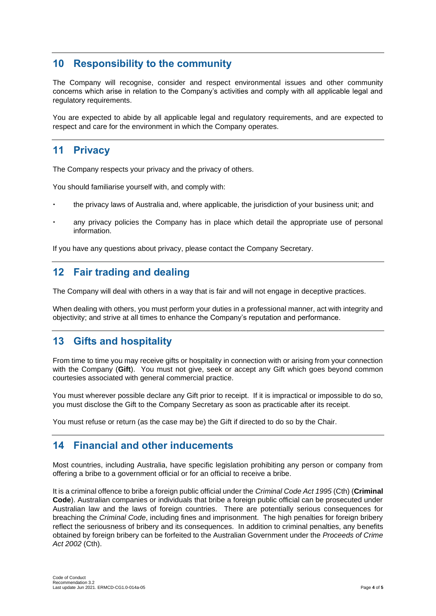# **10 Responsibility to the community**

The Company will recognise, consider and respect environmental issues and other community concerns which arise in relation to the Company's activities and comply with all applicable legal and regulatory requirements.

You are expected to abide by all applicable legal and regulatory requirements, and are expected to respect and care for the environment in which the Company operates.

## **11 Privacy**

The Company respects your privacy and the privacy of others.

You should familiarise yourself with, and comply with:

- the privacy laws of Australia and, where applicable, the jurisdiction of your business unit; and
- any privacy policies the Company has in place which detail the appropriate use of personal information.

If you have any questions about privacy, please contact the Company Secretary.

### **12 Fair trading and dealing**

The Company will deal with others in a way that is fair and will not engage in deceptive practices.

When dealing with others, you must perform your duties in a professional manner, act with integrity and objectivity; and strive at all times to enhance the Company's reputation and performance.

#### **13 Gifts and hospitality**

From time to time you may receive gifts or hospitality in connection with or arising from your connection with the Company (**Gift**). You must not give, seek or accept any Gift which goes beyond common courtesies associated with general commercial practice.

You must wherever possible declare any Gift prior to receipt. If it is impractical or impossible to do so, you must disclose the Gift to the Company Secretary as soon as practicable after its receipt.

You must refuse or return (as the case may be) the Gift if directed to do so by the Chair.

#### **14 Financial and other inducements**

Most countries, including Australia, have specific legislation prohibiting any person or company from offering a bribe to a government official or for an official to receive a bribe.

It is a criminal offence to bribe a foreign public official under the *Criminal Code Act 1995* (Cth) (**Criminal Code**). Australian companies or individuals that bribe a foreign public official can be prosecuted under Australian law and the laws of foreign countries. There are potentially serious consequences for breaching the *Criminal Code*, including fines and imprisonment. The high penalties for foreign bribery reflect the seriousness of bribery and its consequences. In addition to criminal penalties, any benefits obtained by foreign bribery can be forfeited to the Australian Government under the *Proceeds of Crime Act 2002* (Cth).